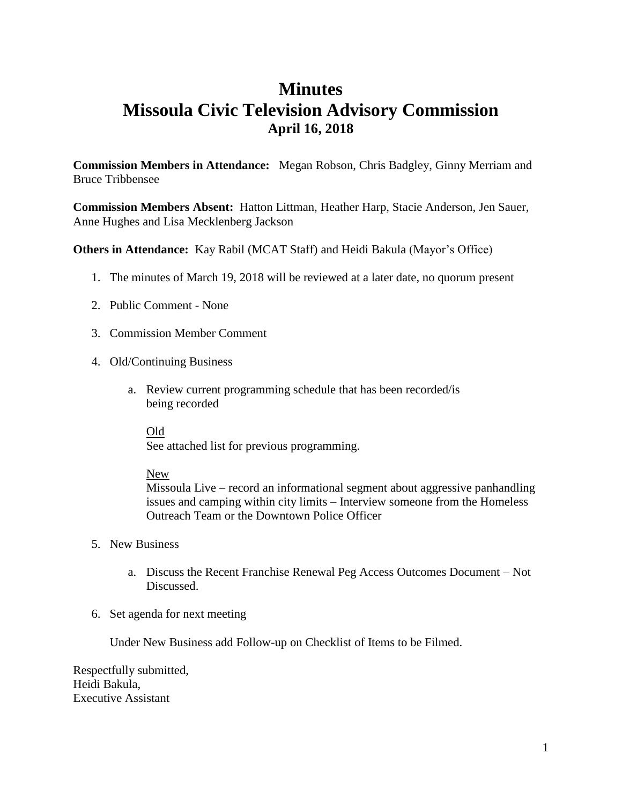# **Minutes Missoula Civic Television Advisory Commission April 16, 2018**

**Commission Members in Attendance:** Megan Robson, Chris Badgley, Ginny Merriam and Bruce Tribbensee

**Commission Members Absent:** Hatton Littman, Heather Harp, Stacie Anderson, Jen Sauer, Anne Hughes and Lisa Mecklenberg Jackson

**Others in Attendance:** Kay Rabil (MCAT Staff) and Heidi Bakula (Mayor's Office)

- 1. The minutes of March 19, 2018 will be reviewed at a later date, no quorum present
- 2. Public Comment None
- 3. Commission Member Comment
- 4. Old/Continuing Business
	- a. Review current programming schedule that has been recorded/is being recorded

Old

See attached list for previous programming.

### New

Missoula Live – record an informational segment about aggressive panhandling issues and camping within city limits – Interview someone from the Homeless Outreach Team or the Downtown Police Officer

- 5. New Business
	- a. Discuss the Recent Franchise Renewal Peg Access Outcomes Document Not Discussed.
- 6. Set agenda for next meeting

Under New Business add Follow-up on Checklist of Items to be Filmed.

Respectfully submitted, Heidi Bakula, Executive Assistant